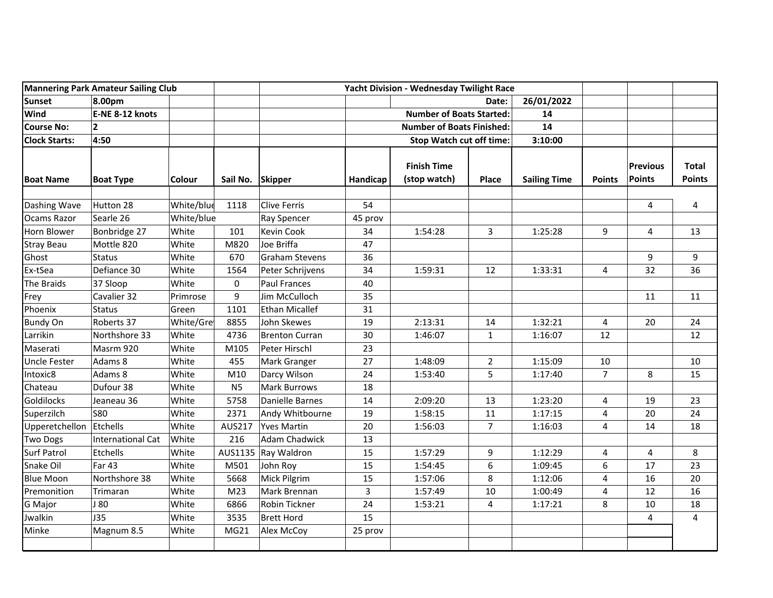| <b>Mannering Park Amateur Sailing Club</b> |                          |            |                  | Yacht Division - Wednesday Twilight Race |                                  |                                    |                |                     |                |                           |                               |
|--------------------------------------------|--------------------------|------------|------------------|------------------------------------------|----------------------------------|------------------------------------|----------------|---------------------|----------------|---------------------------|-------------------------------|
| <b>Sunset</b>                              | 8.00pm                   |            |                  |                                          |                                  | 26/01/2022<br>Date:                |                |                     |                |                           |                               |
| Wind                                       | E-NE 8-12 knots          |            |                  |                                          |                                  | <b>Number of Boats Started:</b>    |                | 14                  |                |                           |                               |
| <b>Course No:</b>                          | $\overline{2}$           |            |                  |                                          | <b>Number of Boats Finished:</b> |                                    |                | 14                  |                |                           |                               |
| <b>Clock Starts:</b>                       | 4:50                     |            |                  |                                          |                                  | <b>Stop Watch cut off time:</b>    |                |                     |                |                           |                               |
| <b>Boat Name</b>                           | <b>Boat Type</b>         | Colour     | Sail No. Skipper |                                          | Handicap                         | <b>Finish Time</b><br>(stop watch) | Place          | <b>Sailing Time</b> | <b>Points</b>  | <b>Previous</b><br>Points | <b>Total</b><br><b>Points</b> |
| Dashing Wave                               | Hutton 28                | White/blue | 1118             | <b>Clive Ferris</b>                      | 54                               |                                    |                |                     |                | 4                         | 4                             |
| Ocams Razor                                | Searle 26                | White/blue |                  | <b>Ray Spencer</b>                       | 45 prov                          |                                    |                |                     |                |                           |                               |
| Horn Blower                                | Bonbridge 27             | White      | 101              | Kevin Cook                               | 34                               | 1:54:28                            | 3              | 1:25:28             | 9              | 4                         | 13                            |
| <b>Stray Beau</b>                          | Mottle 820               | White      | M820             | Joe Briffa                               | 47                               |                                    |                |                     |                |                           |                               |
| Ghost                                      | <b>Status</b>            | White      | 670              | <b>Graham Stevens</b>                    | 36                               |                                    |                |                     |                | 9                         | 9                             |
| Ex-tSea                                    | Defiance 30              | White      | 1564             | Peter Schrijvens                         | 34                               | 1:59:31                            | 12             | 1:33:31             | 4              | 32                        | 36                            |
| The Braids                                 | 37 Sloop                 | White      | 0                | <b>Paul Frances</b>                      | 40                               |                                    |                |                     |                |                           |                               |
| Frey                                       | Cavalier 32              | Primrose   | 9                | Jim McCulloch                            | 35                               |                                    |                |                     |                | 11                        | 11                            |
| Phoenix                                    | <b>Status</b>            | Green      | 1101             | <b>Ethan Micallef</b>                    | 31                               |                                    |                |                     |                |                           |                               |
| <b>Bundy On</b>                            | Roberts 37               | White/Gre  | 8855             | John Skewes                              | 19                               | 2:13:31                            | 14             | 1:32:21             | 4              | 20                        | 24                            |
| Larrikin                                   | Northshore 33            | White      | 4736             | <b>Brenton Curran</b>                    | 30                               | 1:46:07                            | $\mathbf{1}$   | 1:16:07             | 12             |                           | 12                            |
| Maserati                                   | Masrm 920                | White      | M105             | Peter Hirschl                            | 23                               |                                    |                |                     |                |                           |                               |
| <b>Uncle Fester</b>                        | Adams 8                  | White      | 455              | Mark Granger                             | 27                               | 1:48:09                            | $\overline{2}$ | 1:15:09             | 10             |                           | 10                            |
| Intoxic8                                   | Adams 8                  | White      | M10              | Darcy Wilson                             | 24                               | 1:53:40                            | 5              | 1:17:40             | $\overline{7}$ | 8                         | 15                            |
| Chateau                                    | Dufour 38                | White      | N <sub>5</sub>   | <b>Mark Burrows</b>                      | 18                               |                                    |                |                     |                |                           |                               |
| Goldilocks                                 | Jeaneau 36               | White      | 5758             | Danielle Barnes                          | 14                               | 2:09:20                            | 13             | 1:23:20             | 4              | 19                        | 23                            |
| Superzilch                                 | <b>S80</b>               | White      | 2371             | Andy Whitbourne                          | 19                               | 1:58:15                            | 11             | 1:17:15             | 4              | 20                        | 24                            |
| Upperetchellon                             | Etchells                 | White      | AUS217           | <b>Yves Martin</b>                       | 20                               | 1:56:03                            | $\overline{7}$ | 1:16:03             | 4              | 14                        | 18                            |
| <b>Two Dogs</b>                            | <b>International Cat</b> | White      | 216              | <b>Adam Chadwick</b>                     | 13                               |                                    |                |                     |                |                           |                               |
| <b>Surf Patrol</b>                         | Etchells                 | White      | AUS1135          | Ray Waldron                              | 15                               | 1:57:29                            | 9              | 1:12:29             | 4              | 4                         | 8                             |
| Snake Oil                                  | <b>Far 43</b>            | White      | M501             | John Roy                                 | 15                               | 1:54:45                            | 6              | 1:09:45             | 6              | 17                        | 23                            |
| <b>Blue Moon</b>                           | Northshore 38            | White      | 5668             | Mick Pilgrim                             | 15                               | 1:57:06                            | 8              | 1:12:06             | 4              | 16                        | 20                            |
| Premonition                                | Trimaran                 | White      | M <sub>23</sub>  | Mark Brennan                             | 3                                | 1:57:49                            | 10             | 1:00:49             | 4              | 12                        | 16                            |
| <b>G</b> Major                             | J 80                     | White      | 6866             | Robin Tickner                            | 24                               | 1:53:21                            | 4              | 1:17:21             | 8              | 10                        | 18                            |
| Jwalkin                                    | J35                      | White      | 3535             | <b>Brett Hord</b>                        | 15                               |                                    |                |                     |                | 4                         | 4                             |
| Minke                                      | Magnum 8.5               | White      | MG21             | Alex McCoy                               | 25 prov                          |                                    |                |                     |                |                           |                               |
|                                            |                          |            |                  |                                          |                                  |                                    |                |                     |                |                           |                               |